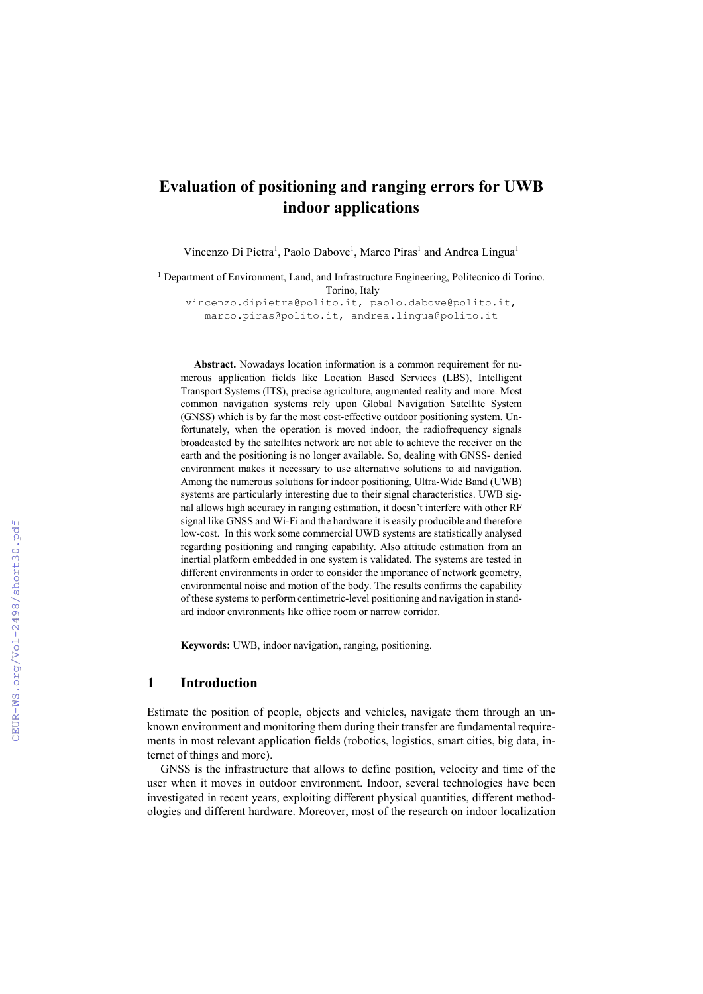# **Evaluation of positioning and ranging errors for UWB indoor applications**

Vincenzo Di Pietra<sup>1</sup>, Paolo Dabove<sup>1</sup>, Marco Piras<sup>1</sup> and Andrea Lingua<sup>1</sup>

<sup>1</sup> Department of Environment, Land, and Infrastructure Engineering, Politecnico di Torino. Torino, Italy

vincenzo.dipietra@polito.it, paolo.dabove@polito.it, marco.piras@polito.it, andrea.lingua@polito.it

**Abstract.** Nowadays location information is a common requirement for numerous application fields like Location Based Services (LBS), Intelligent Transport Systems (ITS), precise agriculture, augmented reality and more. Most common navigation systems rely upon Global Navigation Satellite System (GNSS) which is by far the most cost-effective outdoor positioning system. Unfortunately, when the operation is moved indoor, the radiofrequency signals broadcasted by the satellites network are not able to achieve the receiver on the earth and the positioning is no longer available. So, dealing with GNSS- denied environment makes it necessary to use alternative solutions to aid navigation. Among the numerous solutions for indoor positioning, Ultra-Wide Band (UWB) systems are particularly interesting due to their signal characteristics. UWB signal allows high accuracy in ranging estimation, it doesn't interfere with other RF signal like GNSS and Wi-Fi and the hardware it is easily producible and therefore low-cost. In this work some commercial UWB systems are statistically analysed regarding positioning and ranging capability. Also attitude estimation from an inertial platform embedded in one system is validated. The systems are tested in different environments in order to consider the importance of network geometry, environmental noise and motion of the body. The results confirms the capability of these systems to perform centimetric-level positioning and navigation in standard indoor environments like office room or narrow corridor.

**Keywords:** UWB, indoor navigation, ranging, positioning.

### **1 Introduction**

Estimate the position of people, objects and vehicles, navigate them through an unknown environment and monitoring them during their transfer are fundamental requirements in most relevant application fields (robotics, logistics, smart cities, big data, internet of things and more).

GNSS is the infrastructure that allows to define position, velocity and time of the user when it moves in outdoor environment. Indoor, several technologies have been investigated in recent years, exploiting different physical quantities, different methodologies and different hardware. Moreover, most of the research on indoor localization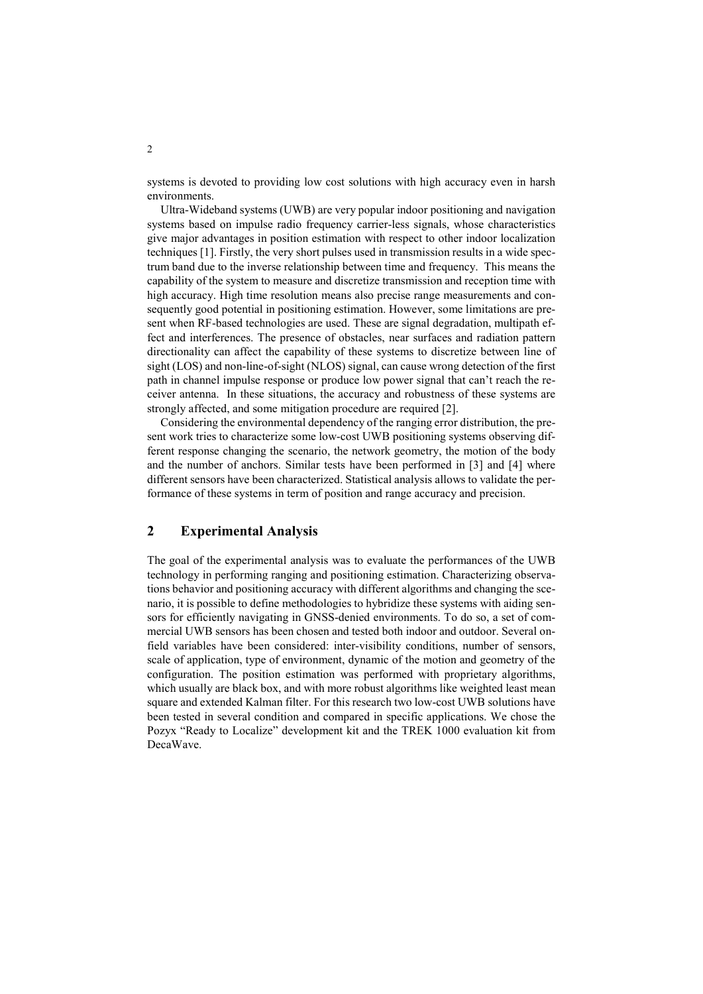systems is devoted to providing low cost solutions with high accuracy even in harsh environments.

Ultra-Wideband systems (UWB) are very popular indoor positioning and navigation systems based on impulse radio frequency carrier-less signals, whose characteristics give major advantages in position estimation with respect to other indoor localization techniques [1]. Firstly, the very short pulses used in transmission results in a wide spectrum band due to the inverse relationship between time and frequency. This means the capability of the system to measure and discretize transmission and reception time with high accuracy. High time resolution means also precise range measurements and consequently good potential in positioning estimation. However, some limitations are present when RF-based technologies are used. These are signal degradation, multipath effect and interferences. The presence of obstacles, near surfaces and radiation pattern directionality can affect the capability of these systems to discretize between line of sight (LOS) and non-line-of-sight (NLOS) signal, can cause wrong detection of the first path in channel impulse response or produce low power signal that can't reach the receiver antenna. In these situations, the accuracy and robustness of these systems are strongly affected, and some mitigation procedure are required [2].

Considering the environmental dependency of the ranging error distribution, the present work tries to characterize some low-cost UWB positioning systems observing different response changing the scenario, the network geometry, the motion of the body and the number of anchors. Similar tests have been performed in [3] and [4] where different sensors have been characterized. Statistical analysis allows to validate the performance of these systems in term of position and range accuracy and precision.

## **2 Experimental Analysis**

The goal of the experimental analysis was to evaluate the performances of the UWB technology in performing ranging and positioning estimation. Characterizing observations behavior and positioning accuracy with different algorithms and changing the scenario, it is possible to define methodologies to hybridize these systems with aiding sensors for efficiently navigating in GNSS-denied environments. To do so, a set of commercial UWB sensors has been chosen and tested both indoor and outdoor. Several onfield variables have been considered: inter-visibility conditions, number of sensors, scale of application, type of environment, dynamic of the motion and geometry of the configuration. The position estimation was performed with proprietary algorithms, which usually are black box, and with more robust algorithms like weighted least mean square and extended Kalman filter. For this research two low-cost UWB solutions have been tested in several condition and compared in specific applications. We chose the Pozyx "Ready to Localize" development kit and the TREK 1000 evaluation kit from DecaWave.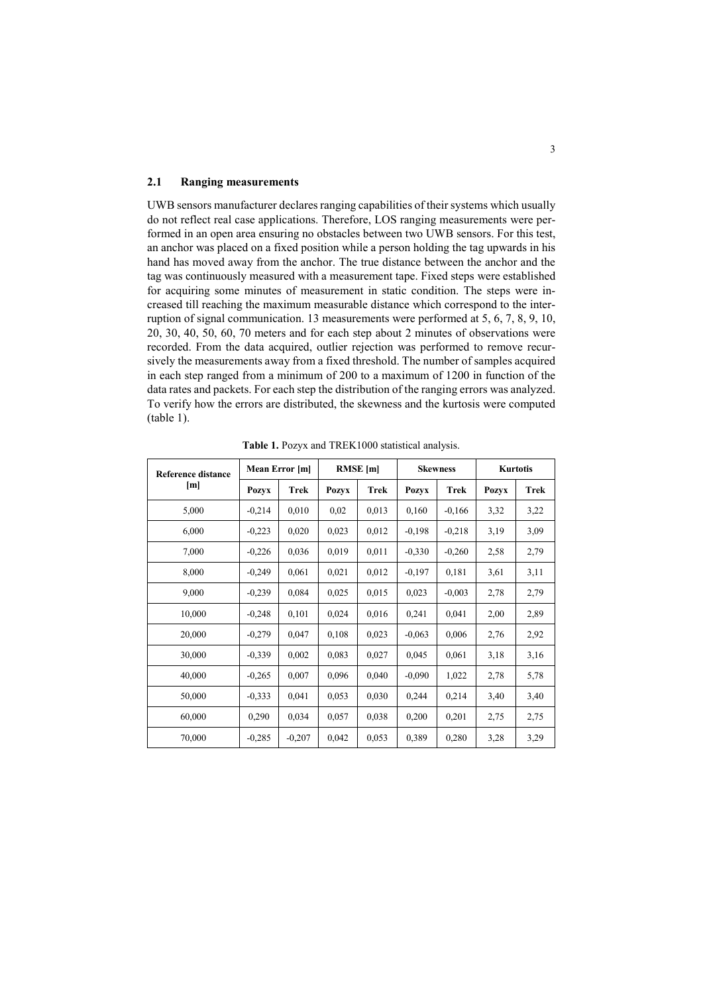#### **2.1 Ranging measurements**

UWB sensors manufacturer declares ranging capabilities of their systems which usually do not reflect real case applications. Therefore, LOS ranging measurements were performed in an open area ensuring no obstacles between two UWB sensors. For this test, an anchor was placed on a fixed position while a person holding the tag upwards in his hand has moved away from the anchor. The true distance between the anchor and the tag was continuously measured with a measurement tape. Fixed steps were established for acquiring some minutes of measurement in static condition. The steps were increased till reaching the maximum measurable distance which correspond to the interruption of signal communication. 13 measurements were performed at 5, 6, 7, 8, 9, 10, 20, 30, 40, 50, 60, 70 meters and for each step about 2 minutes of observations were recorded. From the data acquired, outlier rejection was performed to remove recursively the measurements away from a fixed threshold. The number of samples acquired in each step ranged from a minimum of 200 to a maximum of 1200 in function of the data rates and packets. For each step the distribution of the ranging errors was analyzed. To verify how the errors are distributed, the skewness and the kurtosis were computed (table 1).

| <b>Reference distance</b><br>[m] | Mean Error [m] |             | <b>RMSE</b> [m] |       | <b>Skewness</b> |          | Kurtotis     |             |
|----------------------------------|----------------|-------------|-----------------|-------|-----------------|----------|--------------|-------------|
|                                  | <b>Pozyx</b>   | <b>Trek</b> | <b>Pozyx</b>    | Trek  | <b>Pozyx</b>    | Trek     | <b>Pozyx</b> | <b>Trek</b> |
| 5,000                            | $-0,214$       | 0,010       | 0,02            | 0,013 | 0,160           | $-0,166$ | 3,32         | 3,22        |
| 6,000                            | $-0,223$       | 0,020       | 0,023           | 0,012 | $-0,198$        | $-0,218$ | 3,19         | 3,09        |
| 7,000                            | $-0.226$       | 0,036       | 0,019           | 0,011 | $-0.330$        | $-0,260$ | 2,58         | 2,79        |
| 8,000                            | $-0,249$       | 0,061       | 0,021           | 0,012 | $-0.197$        | 0,181    | 3,61         | 3,11        |
| 9,000                            | $-0,239$       | 0,084       | 0,025           | 0,015 | 0,023           | $-0.003$ | 2,78         | 2,79        |
| 10,000                           | $-0.248$       | 0,101       | 0,024           | 0,016 | 0,241           | 0,041    | 2,00         | 2,89        |
| 20,000                           | $-0,279$       | 0,047       | 0,108           | 0,023 | $-0.063$        | 0,006    | 2,76         | 2,92        |
| 30,000                           | $-0.339$       | 0,002       | 0,083           | 0,027 | 0,045           | 0,061    | 3,18         | 3,16        |
| 40,000                           | $-0.265$       | 0,007       | 0,096           | 0,040 | $-0.090$        | 1,022    | 2,78         | 5,78        |
| 50,000                           | $-0,333$       | 0,041       | 0,053           | 0,030 | 0,244           | 0.214    | 3,40         | 3,40        |
| 60,000                           | 0,290          | 0,034       | 0,057           | 0,038 | 0,200           | 0,201    | 2,75         | 2,75        |
| 70,000                           | $-0,285$       | $-0,207$    | 0,042           | 0,053 | 0.389           | 0,280    | 3,28         | 3,29        |

**Table 1.** Pozyx and TREK1000 statistical analysis.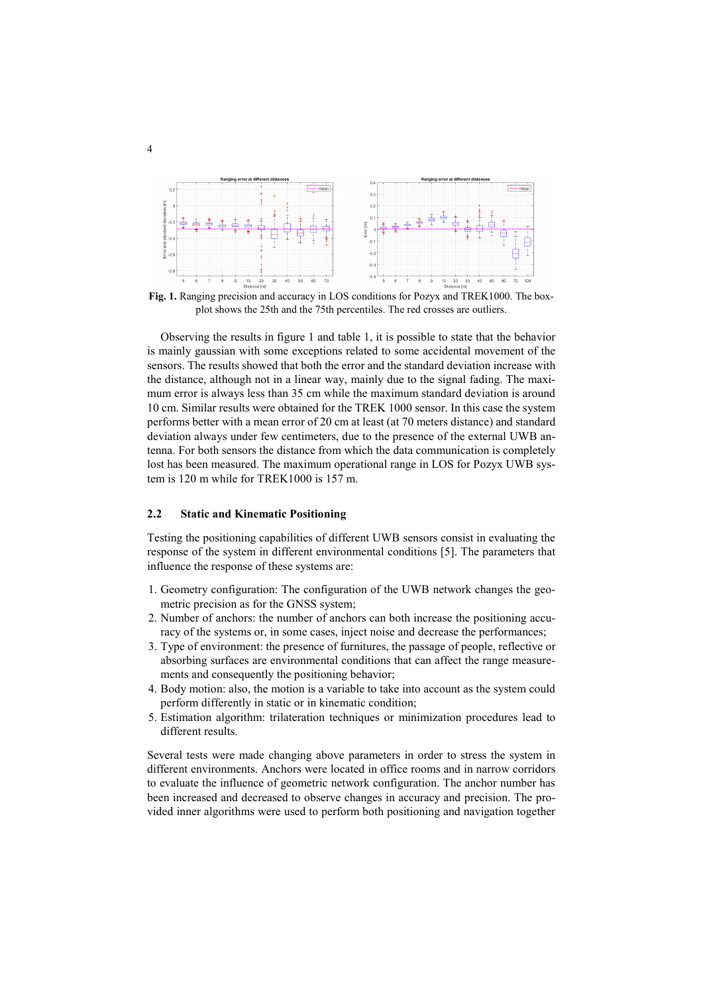

**Fig. 1.** Ranging precision and accuracy in LOS conditions for Pozyx and TREK1000. The boxplot shows the 25th and the 75th percentiles. The red crosses are outliers.

Observing the results in figure 1 and table 1, it is possible to state that the behavior is mainly gaussian with some exceptions related to some accidental movement of the sensors. The results showed that both the error and the standard deviation increase with the distance, although not in a linear way, mainly due to the signal fading. The maximum error is always less than 35 cm while the maximum standard deviation is around 10 cm. Similar results were obtained for the TREK 1000 sensor. In this case the system performs better with a mean error of 20 cm at least (at 70 meters distance) and standard deviation always under few centimeters, due to the presence of the external UWB antenna. For both sensors the distance from which the data communication is completely lost has been measured. The maximum operational range in LOS for Pozyx UWB system is 120 m while for TREK1000 is 157 m.

### **2.2 Static and Kinematic Positioning**

Testing the positioning capabilities of different UWB sensors consist in evaluating the response of the system in different environmental conditions [5]. The parameters that influence the response of these systems are:

- 1. Geometry configuration: The configuration of the UWB network changes the geometric precision as for the GNSS system;
- 2. Number of anchors: the number of anchors can both increase the positioning accuracy of the systems or, in some cases, inject noise and decrease the performances;
- 3. Type of environment: the presence of furnitures, the passage of people, reflective or absorbing surfaces are environmental conditions that can affect the range measurements and consequently the positioning behavior;
- 4. Body motion: also, the motion is a variable to take into account as the system could perform differently in static or in kinematic condition;
- 5. Estimation algorithm: trilateration techniques or minimization procedures lead to different results.

Several tests were made changing above parameters in order to stress the system in different environments. Anchors were located in office rooms and in narrow corridors to evaluate the influence of geometric network configuration. The anchor number has been increased and decreased to observe changes in accuracy and precision. The provided inner algorithms were used to perform both positioning and navigation together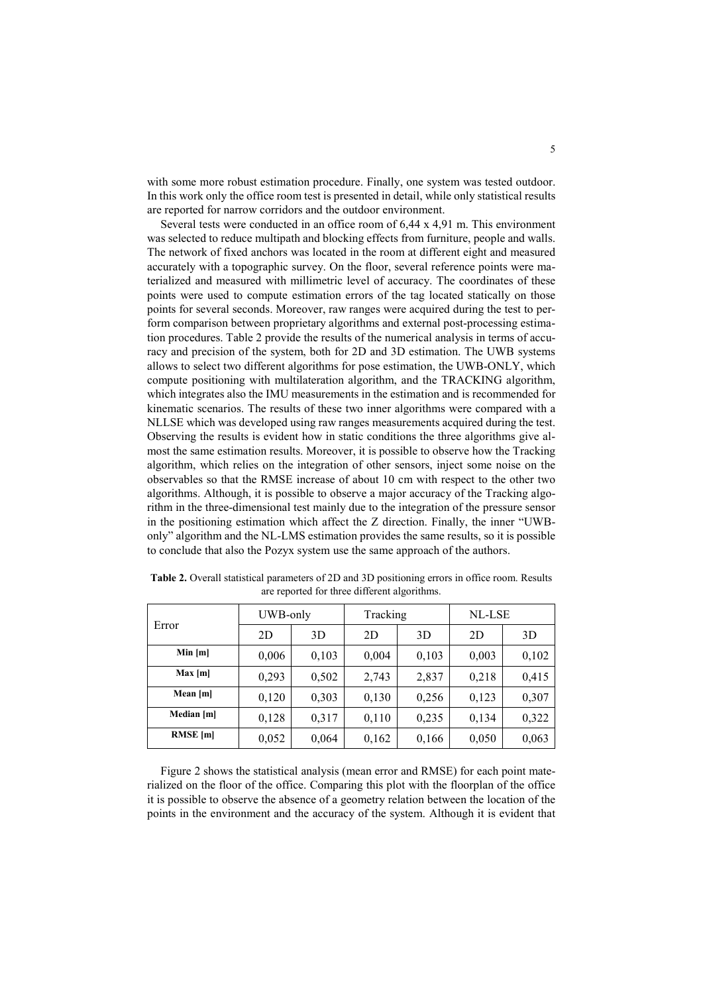with some more robust estimation procedure. Finally, one system was tested outdoor. In this work only the office room test is presented in detail, while only statistical results are reported for narrow corridors and the outdoor environment.

Several tests were conducted in an office room of 6,44 x 4,91 m. This environment was selected to reduce multipath and blocking effects from furniture, people and walls. The network of fixed anchors was located in the room at different eight and measured accurately with a topographic survey. On the floor, several reference points were materialized and measured with millimetric level of accuracy. The coordinates of these points were used to compute estimation errors of the tag located statically on those points for several seconds. Moreover, raw ranges were acquired during the test to perform comparison between proprietary algorithms and external post-processing estimation procedures. Table 2 provide the results of the numerical analysis in terms of accuracy and precision of the system, both for 2D and 3D estimation. The UWB systems allows to select two different algorithms for pose estimation, the UWB-ONLY, which compute positioning with multilateration algorithm, and the TRACKING algorithm, which integrates also the IMU measurements in the estimation and is recommended for kinematic scenarios. The results of these two inner algorithms were compared with a NLLSE which was developed using raw ranges measurements acquired during the test. Observing the results is evident how in static conditions the three algorithms give almost the same estimation results. Moreover, it is possible to observe how the Tracking algorithm, which relies on the integration of other sensors, inject some noise on the observables so that the RMSE increase of about 10 cm with respect to the other two algorithms. Although, it is possible to observe a major accuracy of the Tracking algorithm in the three-dimensional test mainly due to the integration of the pressure sensor in the positioning estimation which affect the Z direction. Finally, the inner "UWBonly" algorithm and the NL-LMS estimation provides the same results, so it is possible to conclude that also the Pozyx system use the same approach of the authors.

| Error           | UWB-only |       | Tracking |       | NL-LSE |       |  |
|-----------------|----------|-------|----------|-------|--------|-------|--|
|                 | 2D       | 3D    | 2D       | 3D    | 2D     | 3D    |  |
| Min [m]         | 0,006    | 0,103 | 0,004    | 0,103 | 0,003  | 0,102 |  |
| Max[m]          | 0,293    | 0,502 | 2,743    | 2,837 | 0,218  | 0,415 |  |
| Mean [m]        | 0,120    | 0,303 | 0,130    | 0,256 | 0,123  | 0,307 |  |
| Median [m]      | 0,128    | 0,317 | 0,110    | 0,235 | 0,134  | 0,322 |  |
| <b>RMSE</b> [m] | 0,052    | 0,064 | 0,162    | 0,166 | 0,050  | 0,063 |  |

**Table 2.** Overall statistical parameters of 2D and 3D positioning errors in office room. Results are reported for three different algorithms.

Figure 2 shows the statistical analysis (mean error and RMSE) for each point materialized on the floor of the office. Comparing this plot with the floorplan of the office it is possible to observe the absence of a geometry relation between the location of the points in the environment and the accuracy of the system. Although it is evident that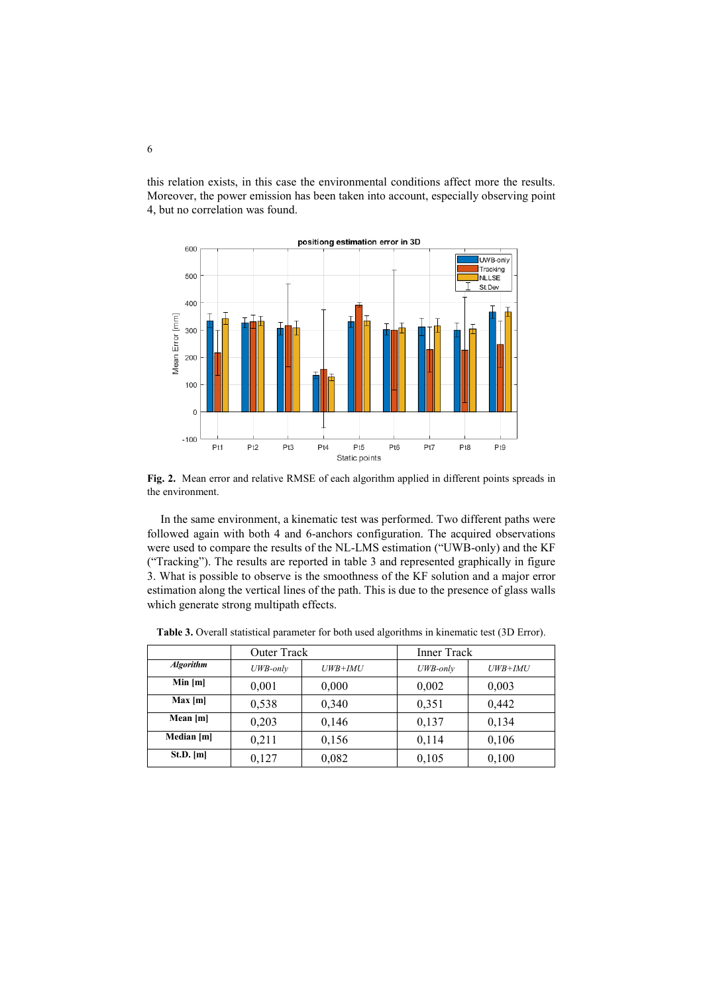this relation exists, in this case the environmental conditions affect more the results. Moreover, the power emission has been taken into account, especially observing point 4, but no correlation was found.



**Fig. 2.** Mean error and relative RMSE of each algorithm applied in different points spreads in the environment.

In the same environment, a kinematic test was performed. Two different paths were followed again with both 4 and 6-anchors configuration. The acquired observations were used to compare the results of the NL-LMS estimation ("UWB-only) and the KF ("Tracking"). The results are reported in table 3 and represented graphically in figure 3. What is possible to observe is the smoothness of the KF solution and a major error estimation along the vertical lines of the path. This is due to the presence of glass walls which generate strong multipath effects.

|                  | <b>Outer Track</b> |           | <b>Inner Track</b> |           |  |
|------------------|--------------------|-----------|--------------------|-----------|--|
| <b>Algorithm</b> | UWB-only           | $UWB+IMU$ | UWB-only           | $UWB+IMU$ |  |
| Min[m]           | 0,001              | 0,000     | 0,002              | 0,003     |  |
| Max[m]           | 0,538              | 0,340     | 0,351              | 0,442     |  |
| Mean [m]         | 0,203              | 0,146     | 0,137              | 0,134     |  |
| Median [m]       | 0,211              | 0,156     | 0,114              | 0,106     |  |
| $St.D.$ [m]      | 0,127              | 0,082     | 0,105              | 0,100     |  |

**Table 3.** Overall statistical parameter for both used algorithms in kinematic test (3D Error).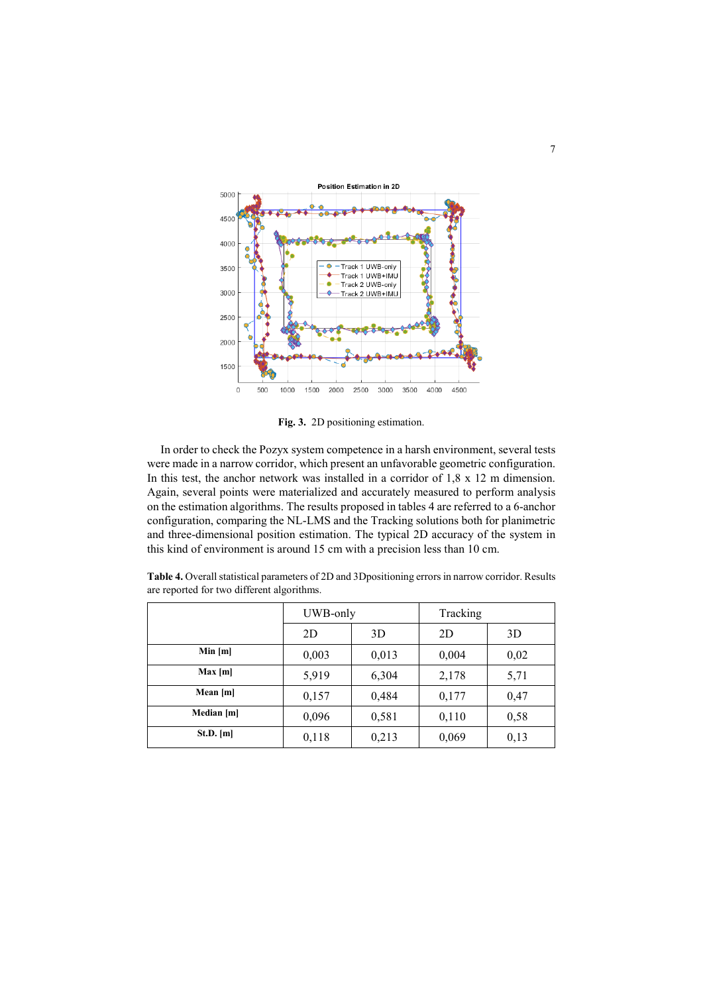

**Fig. 3.** 2D positioning estimation.

In order to check the Pozyx system competence in a harsh environment, several tests were made in a narrow corridor, which present an unfavorable geometric configuration. In this test, the anchor network was installed in a corridor of 1,8 x 12 m dimension. Again, several points were materialized and accurately measured to perform analysis on the estimation algorithms. The results proposed in tables 4 are referred to a 6-anchor configuration, comparing the NL-LMS and the Tracking solutions both for planimetric and three-dimensional position estimation. The typical 2D accuracy of the system in this kind of environment is around 15 cm with a precision less than 10 cm.

|             | UWB-only |       | Tracking |      |  |
|-------------|----------|-------|----------|------|--|
|             | 2D       | 3D    | 2D       | 3D   |  |
| Min [m]     | 0,003    | 0,013 | 0,004    | 0,02 |  |
| Max[m]      | 5,919    | 6,304 | 2,178    | 5,71 |  |
| Mean [m]    | 0,157    | 0,484 | 0,177    | 0,47 |  |
| Median [m]  | 0,096    | 0,581 | 0,110    | 0,58 |  |
| $St.D.$ [m] | 0,118    | 0,213 | 0,069    | 0,13 |  |

**Table 4.** Overall statistical parameters of 2D and 3Dpositioning errors in narrow corridor. Results are reported for two different algorithms.